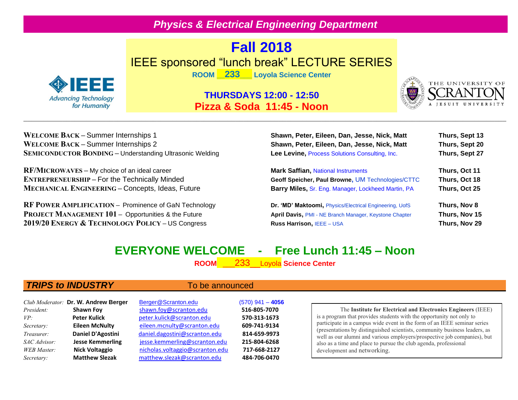## *Physics & Electrical Engineering Department*

# **Fall 2018** IEEE sponsored "lunch break" LECTURE SERIES



**ROOM \_\_233\_\_\_ Loyola Science Center**

## **THURSDAYS 12:00 - 12:50 Pizza & Soda 11:45 - Noon**



**WELCOME BACK – Summer Internships 1 WELCOME BACK – Summer Internships 2 SEMICONDUCTOR BONDING** – Understanding Ultrasonic Welding

**RF/MICROWAVES – My choice of an ideal career ENTREPRENEURSHIP – For the Technically Minded MECHANICAL ENGINEERING – Concepts, Ideas, Future** 

**RF POWER AMPLIFICATION – Prominence of GaN Technology PROJECT MANAGEMENT 101 – Opportunities & the Future 2019/20 ENERGY & TECHNOLOGY POLICY – US Congress** 

| Shawn, Peter, Eileen, Dan, Jesse, Nick, Matt                  | Thurs, Sept 13 |
|---------------------------------------------------------------|----------------|
| Shawn, Peter, Eileen, Dan, Jesse, Nick, Matt                  | Thurs, Sept 20 |
| Lee Levine, Process Solutions Consulting, Inc.                | Thurs, Sept 27 |
| <b>Mark Saffian, National Instruments</b>                     | Thurs, Oct 11  |
| Geoff Speicher, Paul Browne, UM Technologies/CTTC             | Thurs, Oct 18  |
| Barry Miles, Sr. Eng. Manager, Lockheed Martin, PA            | Thurs, Oct 25  |
| Dr. 'MD' Maktoomi, Physics/Electrical Engineering, UofS       | Thurs, Nov 8   |
| <b>April Davis, PMI - NE Branch Manager, Keystone Chapter</b> | Thurs, Nov 15  |
| Russ Harrison, IEEE - USA                                     | Thurs, Nov 29  |
|                                                               |                |

# **EVERYONE WELCOME - Free Lunch 11:45 – Noon**

**ROOM** \_\_\_233\_\_Loyola **Science Center**

## **TRIPS to INDUSTRY** To be announced

|                    | Club Moderator: Dr. W. Andrew Berger | Berger@Scranton.edu             | $(570)$ 941 - 4056 |
|--------------------|--------------------------------------|---------------------------------|--------------------|
| President:         | <b>Shawn Foy</b>                     | shawn.foy@scranton.edu          | 516-805-7070       |
| VP:                | <b>Peter Kulick</b>                  | peter.kulick@scranton.edu       | 570-313-1673       |
| Secretary:         | <b>Eileen McNulty</b>                | eileen.mcnulty@scranton.edu     | 609-741-9134       |
| Treasurer:         | Daniel D'Agostini                    | daniel.dagostini@scranton.edu   | 814-659-9973       |
| SAC Advisor:       | <b>Jesse Kemmerling</b>              | jesse.kemmerling@scranton.edu   | 215-804-6268       |
| <b>WEB</b> Master: | <b>Nick Voltaggio</b>                | nicholas.voltaggio@scranton.edu | 717-668-2127       |
| Secretary:         | <b>Matthew Slezak</b>                | matthew.slezak@scranton.edu     | 484-706-0470       |

### The **Institute for Electrical and Electronics Engineers** (IEEE) is a program that provides students with the opportunity not only to participate in a campus wide event in the form of an IEEE seminar series (presentations by distinguished scientists, community business leaders, as well as our alumni and various employers/prospective job companies), but also as a time and place to pursue the club agenda, professional development and networking.